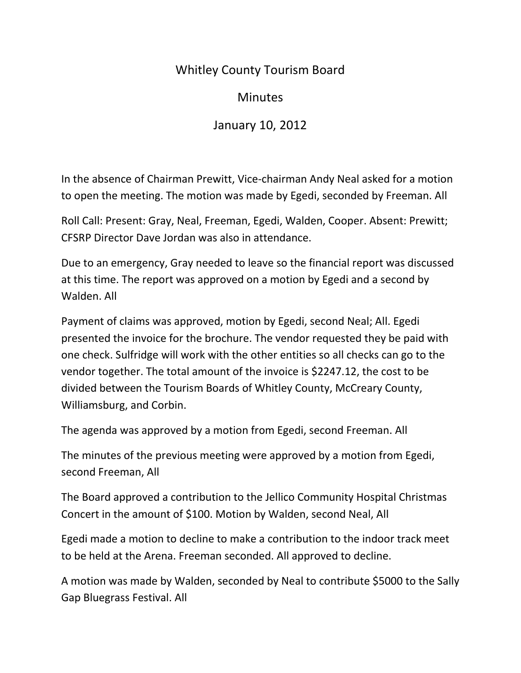## Whitley County Tourism Board

## **Minutes**

## January 10, 2012

In the absence of Chairman Prewitt, Vice-chairman Andy Neal asked for a motion to open the meeting. The motion was made by Egedi, seconded by Freeman. All

Roll Call: Present: Gray, Neal, Freeman, Egedi, Walden, Cooper. Absent: Prewitt; CFSRP Director Dave Jordan was also in attendance.

Due to an emergency, Gray needed to leave so the financial report was discussed at this time. The report was approved on a motion by Egedi and a second by Walden. All

Payment of claims was approved, motion by Egedi, second Neal; All. Egedi presented the invoice for the brochure. The vendor requested they be paid with one check. Sulfridge will work with the other entities so all checks can go to the vendor together. The total amount of the invoice is \$2247.12, the cost to be divided between the Tourism Boards of Whitley County, McCreary County, Williamsburg, and Corbin.

The agenda was approved by a motion from Egedi, second Freeman. All

The minutes of the previous meeting were approved by a motion from Egedi, second Freeman, All

The Board approved a contribution to the Jellico Community Hospital Christmas Concert in the amount of \$100. Motion by Walden, second Neal, All

Egedi made a motion to decline to make a contribution to the indoor track meet to be held at the Arena. Freeman seconded. All approved to decline.

A motion was made by Walden, seconded by Neal to contribute \$5000 to the Sally Gap Bluegrass Festival. All